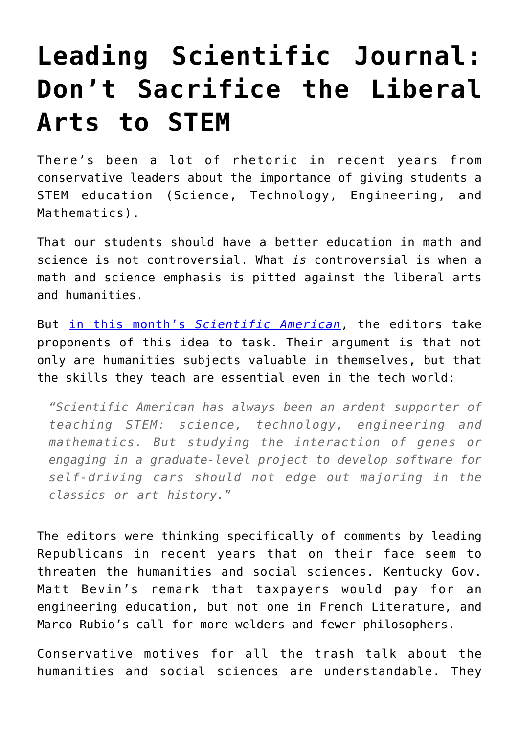## **[Leading Scientific Journal:](https://intellectualtakeout.org/2016/10/leading-scientific-journal-dont-sacrifice-the-liberal-arts-to-stem/) [Don't Sacrifice the Liberal](https://intellectualtakeout.org/2016/10/leading-scientific-journal-dont-sacrifice-the-liberal-arts-to-stem/) [Arts to STEM](https://intellectualtakeout.org/2016/10/leading-scientific-journal-dont-sacrifice-the-liberal-arts-to-stem/)**

There's been a lot of rhetoric in recent years from conservative leaders about the importance of giving students a STEM education (Science, Technology, Engineering, and Mathematics).

That our students should have a better education in math and science is not controversial. What *is* controversial is when a math and science emphasis is pitted against the liberal arts and humanities.

But [in this month's](https://www.scientificamerican.com/article/stem-education-is-vital-but-not-at-the-expense-of-the-humanities/) *[Scientific American](https://www.scientificamerican.com/article/stem-education-is-vital-but-not-at-the-expense-of-the-humanities/)*, the editors take proponents of this idea to task. Their argument is that not only are humanities subjects valuable in themselves, but that the skills they teach are essential even in the tech world:

*"Scientific American has always been an ardent supporter of teaching STEM: science, technology, engineering and mathematics. But studying the interaction of genes or engaging in a graduate-level project to develop software for self-driving cars should not edge out majoring in the classics or art history."*

The editors were thinking specifically of comments by leading Republicans in recent years that on their face seem to threaten the humanities and social sciences. Kentucky Gov. Matt Bevin's remark that taxpayers would pay for an engineering education, but not one in French Literature, and Marco Rubio's call for more welders and fewer philosophers.

Conservative motives for all the trash talk about the humanities and social sciences are understandable. They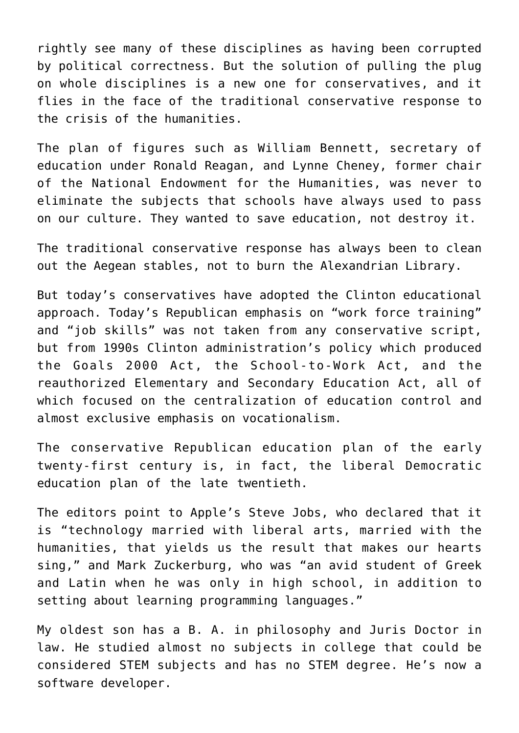rightly see many of these disciplines as having been corrupted by political correctness. But the solution of pulling the plug on whole disciplines is a new one for conservatives, and it flies in the face of the traditional conservative response to the crisis of the humanities.

The plan of figures such as William Bennett, secretary of education under Ronald Reagan, and Lynne Cheney, former chair of the National Endowment for the Humanities, was never to eliminate the subjects that schools have always used to pass on our culture. They wanted to save education, not destroy it.

The traditional conservative response has always been to clean out the Aegean stables, not to burn the Alexandrian Library.

But today's conservatives have adopted the Clinton educational approach. Today's Republican emphasis on "work force training" and "job skills" was not taken from any conservative script, but from 1990s Clinton administration's policy which produced the Goals 2000 Act, the School-to-Work Act, and the reauthorized Elementary and Secondary Education Act, all of which focused on the centralization of education control and almost exclusive emphasis on vocationalism.

The conservative Republican education plan of the early twenty-first century is, in fact, the liberal Democratic education plan of the late twentieth.

The editors point to Apple's Steve Jobs, who declared that it is "technology married with liberal arts, married with the humanities, that yields us the result that makes our hearts sing," and Mark Zuckerburg, who was "an avid student of Greek and Latin when he was only in high school, in addition to setting about learning programming languages."

My oldest son has a B. A. in philosophy and Juris Doctor in law. He studied almost no subjects in college that could be considered STEM subjects and has no STEM degree. He's now a software developer.